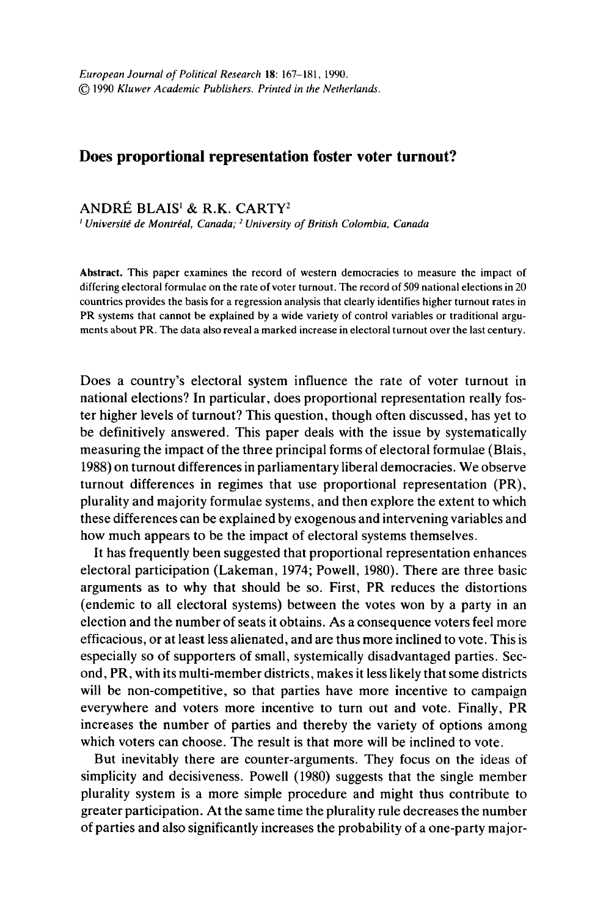# **Does proportional representation foster voter turnout?**

## ANDRE BLAIS' & R.K. CARTY2

<sup>1</sup> Université de Montréal, Canada; <sup>2</sup> University of British Colombia, Canada

Abstract. This paper examines the record of western democracies to measure the impact of differing electoral formulae **on** the rate of voter turnout. The record of *509* national elections in 20 countries provides the basis for a regression analysis that clearly identifies higher turnout rates in PR systems that cannot be explained by a wide variety of control variables or traditional arguments about PR. The data also reveal a marked increase in electoral turnout over the last century.

Does a country's electoral system influence the rate of voter turnout in national elections? In particular, does proportional representation really foster higher levels of turnout? This question, though often discussed, has yet to be definitively answered. This paper deals with the issue by systematically measuring the impact of the three principal forms of electoral formulae (Blais, 1988) on turnout differences in parliamentary liberal democracies. We observe turnout differences in regimes that use proportional representation (PR), plurality and majority formulae systems, and then explore the extent to which these differences can be explained by exogenous and intervening variables and how much appears to be the impact of electoral systems themselves.

It has frequently been suggested that proportional representation enhances electoral participation (Lakeman, 1974; Powell, 1980). There are three basic arguments as to why that should be so. First, PR reduces the distortions (endemic to all electoral systems) between the votes won by a party in an election and the number of seats it obtains. As a consequence voters feel more efficacious, or at least less alienated, and are thus more inclined to vote. This is especially so of supporters of small, systemically disadvantaged parties. Second, PR, with its multi-member districts, makes it less likely that some districts will be non-competitive, so that parties have more incentive to campaign everywhere and voters more incentive to turn out and vote. Finally, PR increases the number of parties and thereby the variety of options among which voters can choose. The result is that more will be inclined to vote.

But inevitably there are counter-arguments. They focus on the ideas of simplicity and decisiveness. Powell (1980) suggests that the single member plurality system is a more simple procedure and might thus contribute to greater participation. At the same time the plurality rule decreases the number of parties and also significantly increases the probability of a one-party major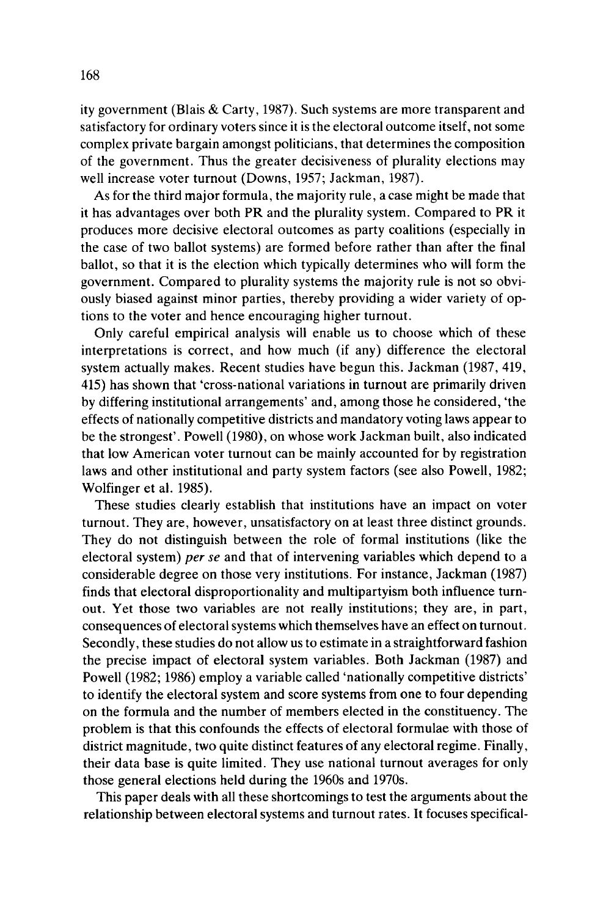ity government (Blais & Carty, 1987). Such systems are more transparent and satisfactory for ordinary voters since it is the electoral outcome itself, not some complex private bargain amongst politicians, that determines the composition of the government. Thus the greater decisiveness of plurality elections may well increase voter turnout (Downs, 1957; Jackman, 1987).

As for the third major formula, the majority rule, a case might be made that it has advantages over both PR and the plurality system. Compared to PR it produces more decisive electoral outcomes as party coalitions (especially in the case of two ballot systems) are formed before rather than after the final ballot, so that it is the election which typically determines who will form the government. Compared to plurality systems the majority rule is not so obviously biased against minor parties, thereby providing a wider variety of **op**tions to the voter and hence encouraging higher turnout.

Only careful empirical analysis will enable us to choose which of these interpretations is correct, and how much (if any) difference the electoral system actually makes. Recent studies have begun this. Jackman (1987, 419, 415) has shown that 'cross-national variations in turnout are primarily driven by differing institutional arrangements' and, among those he considered, 'the effects of nationally competitive districts and mandatory voting laws appear *to*  be the strongest'. Powell (1980), on whose work Jackman built, also indicated that low American voter turnout can be mainly accounted for by registration laws and other institutional and party system factors (see also Powell, 1982; Wolfinger et al. 1985).

These studies clearly establish that institutions have an impact on voter turnout. They are, however, unsatisfactory on at least three distinct grounds. They do not distinguish between the role of formal institutions (like the electoral system) *per* **se** and that of intervening variables which depend to a considerable degree on those very institutions. For instance, Jackman (1987) finds that electoral disproportionality and multipartyism both influence turnout. Yet those two variables are not really institutions; they are, in part, consequences of electoral systems which themselves have an effect on turnout. Secondly, these studies do not allow us to estimate in a straightforward fashion the precise impact of electoral system variables. Both Jackman (1987) and Powell (1982; 1986) employ a variable called 'nationally competitive districts' to identify the electoral system and score systems from one to four depending on the formula and the number of members elected in the constituency. The problem is that this confounds the effects of electoral formulae with those of district magnitude, two quite distinct features of any electoral regime. Finally, their data base is quite limited. They use national turnout averages for only those general elections held during the 1960s and 1970s.

This paper deals with all these shortcomings to test the arguments about the relationship between electoral systems and turnout rates. It focuses specifical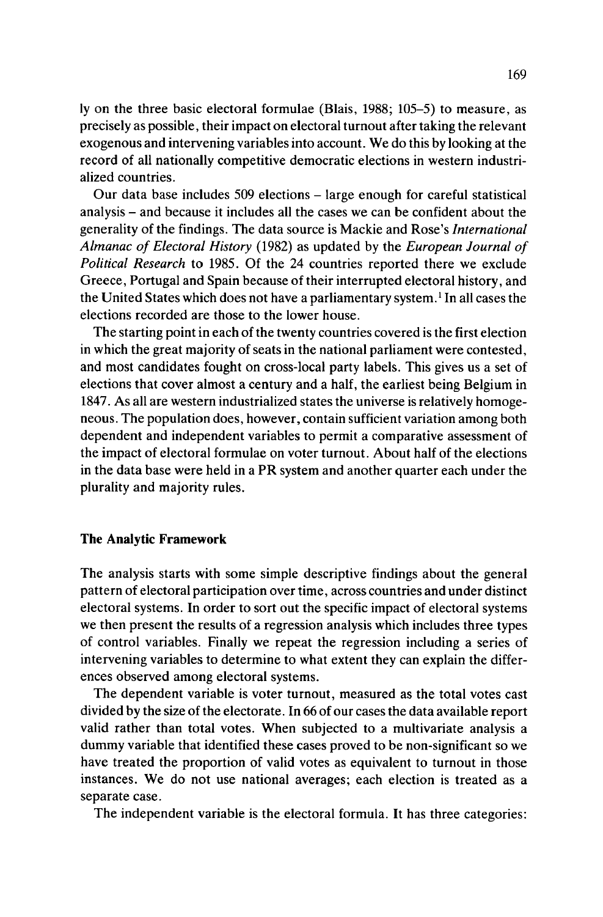ly on the three basic electoral formulae (Blais, 1988; 105-5) to measure, as precisely as possible, their impact on electoral turnout after taking the relevant exogenous and intervening variables into account. We do this by looking at the record of all nationally competitive democratic elections in western industrialized countries.

Our data base includes 509 elections - large enough for careful statistical analysis - and because it includes all the cases we can be confident about the generality of the findings. The data source is Mackie and Rose's *International Almanac* of *Electoral History* (1982) as updated by the *European Journal* of *Political Research* to 1985. Of the 24 countries reported there we exclude Greece, Portugal and Spain because of their interrupted electoral history, and the United States which does not have a parliamentary system.' In all cases the elections recorded are those to the lower house.

The starting point in each of the twenty countries covered is the first election in which the great majority of seats in the national parliament were contested, and most candidates fought on cross-local party labels. This gives us a set of elections that cover almost a century and a half, the earliest being Belgium in 1847. As all are western industrialized states the universe is relatively homogeneous. The population does, however, contain sufficient variation among both dependent and independent variables to permit a comparative assessment of the impact of electoral formulae on voter turnout. About half of the elections in the data base were held in a PR system and another quarter each under the plurality and majority rules.

### **The Analytic Framework**

The analysis starts with some simple descriptive findings about the general pattern of electoral participation over time, across countries and under distinct electoral systems. In order to sort out the specific impact of electoral systems we then present the results of a regression analysis which includes three types of control variables. Finally we repeat the regression including a series of intervening variables to determine to what extent they can explain the differences observed among electoral systems.

The dependent variable is voter turnout, measured as the total votes cast divided by the size of the electorate. In 66 of our cases the data available report valid rather than total votes. When subjected to a multivariate analysis a dummy variable that identified these cases proved to be non-significant so we have treated the proportion of valid votes as equivalent to turnout in those instances. We do not use national averages; each election is treated as a separate case.

The independent variable is the electoral formula. It has three categories: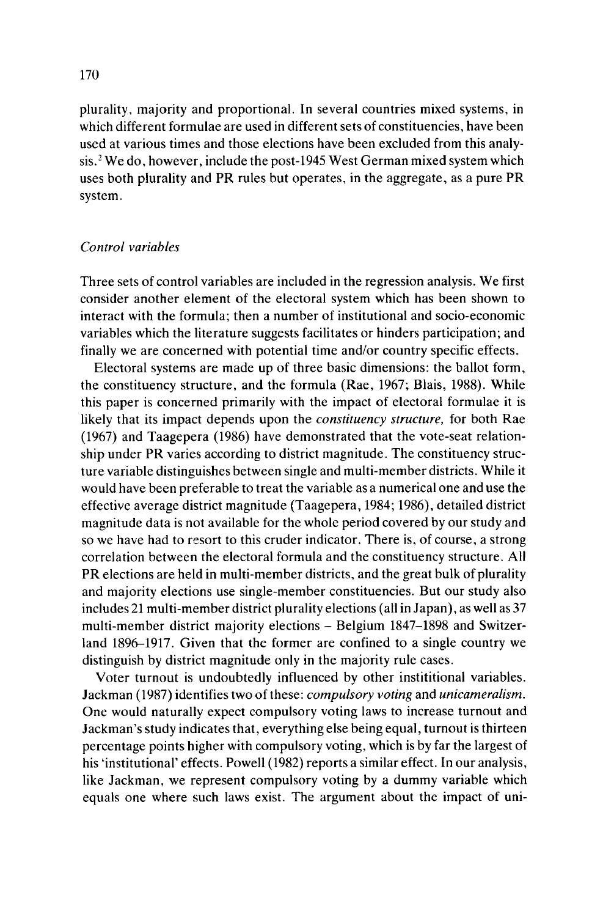plurality, majority and proportional. In several countries mixed systems, in which different formulae are used in different sets of constituencies, have been used at various times and those elections have been excluded from this analysis.' We do, however, include the post-1945 West German mixed system which uses both plurality and PR rules but operates, in the aggregate, as a pure PR system.

## *Control variables*

Three sets of control variables are included in the regression analysis. We first consider another element of the electoral system which has been shown to interact with the formula; then a number of institutional and socio-economic variables which the literature suggests facilitates or hinders participation; and finally we are concerned with potential time and/or country specific effects.

Electoral systems are made up of three basic dimensions: the ballot form, the constituency structure, and the formula (Rae, 1967; Blais, 1988). While this paper is concerned primarily with the impact of electoral formulae it is likely that its impact depends upon the *constituency structure,* for both Rae (1967) and Taagepera (1986) have demonstrated that the vote-seat relationship under PR varies according to district magnitude. The constituency structure variable distinguishes between single and multi-member districts. While it would have been preferable to treat the variable as a numerical one and use the effective average district magnitude (Taagepera, 1984; 1986). detailed district magnitude data is not available for the whole period covered by our study and so we have had to resort to this cruder indicator. There is, of course, a strong correlation between the electoral formula and the constituency structure. **All**  PR elections are held in multi-member districts, and the great bulk of plurality and majority elections use single-member constituencies. But our study also includes 21 multi-member district plurality elections (all in Japan), as well as 37 multi-member district majority elections - Belgium 1847-1898 and Switzerland 1896-1917. Given that the former are confined to a single country we distinguish by district magnitude only in the majority rule cases.

Voter turnout is undoubtedly influenced by other instititional variables. Jackman (1987) identifies two of these: *compulsory voting* and *unicameralism.*  One would naturally expect compulsory voting laws to increase turnout and Jackman's study indicates that, everything else being equal, turnout is thirteen percentage points higher with compulsory voting, which is by far the largest of his 'institutional' effects. Powell (1982) reports a similar effect. In our analysis, like Jackman, we represent compulsory voting by a dummy variable which equals one where such laws exist. The argument about the impact of uni-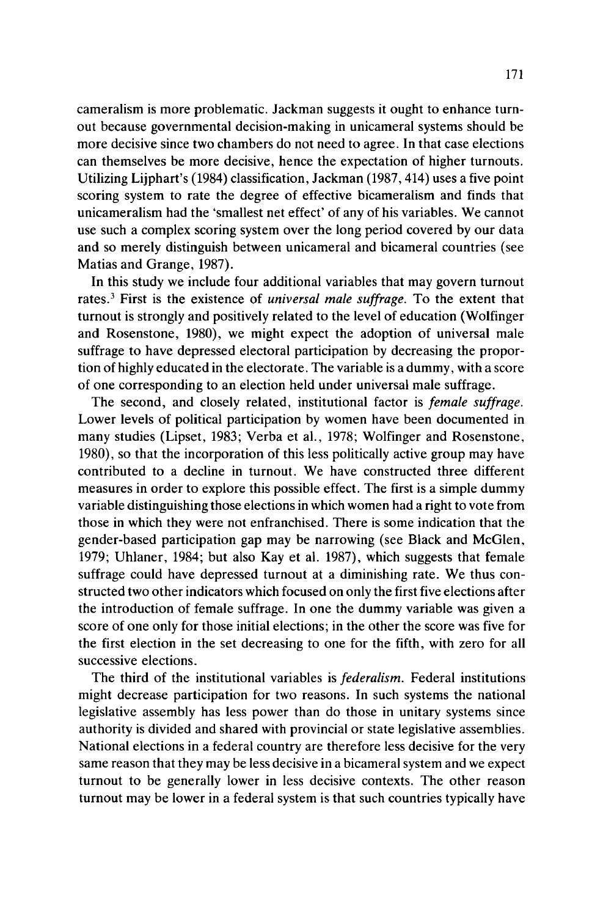cameralism is more problematic. Jackman suggests it ought to enhance turnout because governmental decision-making in unicameral systems should be more decisive since two chambers do not need to agree. In that case elections can themselves be more decisive, hence the expectation of higher turnouts. Utilizing Lijphart's **(1984)** classification, Jackman **(1987,414)** uses a five point scoring system to rate the degree of effective bicameralism and finds that unicameralism had the 'smallest net effect' of any of his variables. We cannot use such a complex scoring system over the long period covered by our data and so merely distinguish between unicameral and bicameral countries (see Matias and Grange, **1987).** 

In this study we include four additional variables that may govern turnout rates.3 First is the existence of *universal male suffrage.* To the extent that turnout is strongly and positively related to the level of education (Wolfinger and Rosenstone, **1980),** we might expect the adoption of universal male suffrage **to** have depressed electoral participation by decreasing the proportion of highly educated in the electorate. The variable is a dummy, with a score of one corresponding to an election held under universal male suffrage.

The second, and closely related, institutional factor is *female suffrage.*  Lower levels of political participation by women have been documented in many studies (Lipset, **1983;** Verba et al., **1978;** Wolfinger and Rosenstone, **1980),** so that the incorporation of this less politically active group may have contributed to a decline in turnout. We have constructed three different measures in order to explore this possible effect. The first is a simple dummy variable distinguishing those elections in which women had a right to vote from those in which they were not enfranchised. There is some indication that the gender-based participation gap may be narrowing (see Black and McGlen, **1979;** Uhlaner, **1984;** but also Kay et al. **1987),** which suggests that female suffrage could have depressed turnout at a diminishing rate. We thus constructed two other indicators which focused on only the first five elections after the introduction of female suffrage. In one the dummy variable was given a score of one only for those initial elections; in the other the score was five for the first election in the set decreasing to one for the fifth, with zero for all successive elections.

The third of the institutional variables is *federalism.* Federal institutions might decrease participation for two reasons. In such systems the national legislative assembly has less power than do those in unitary systems since authority is divided and shared with provincial or state legislative assemblies. National elections in a federal country are therefore less decisive for the very same reason that they may be less decisive in a bicameral system and we expect turnout to be generally lower in less decisive contexts. The other reason turnout may be lower in a federal system is that such countries typically have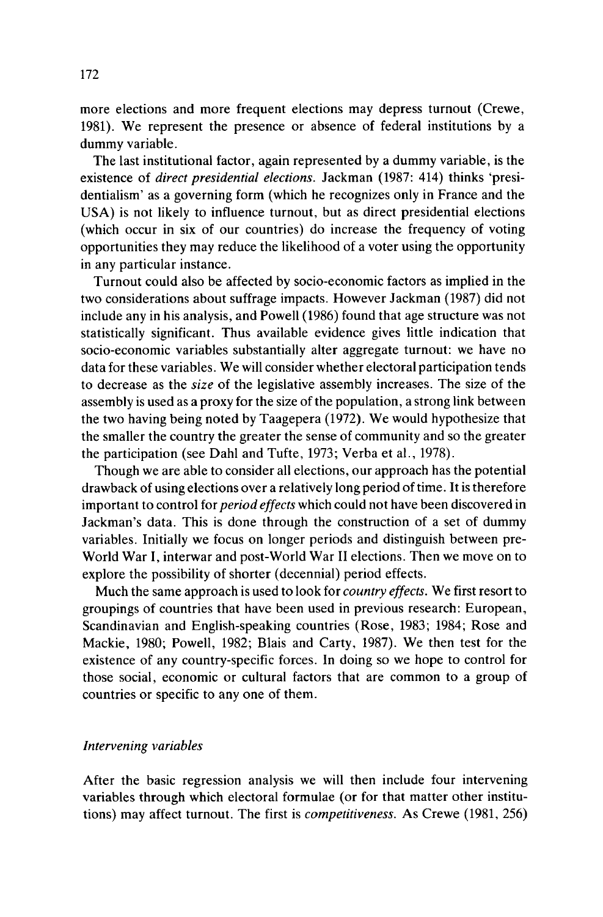more elections and more frequent elections may depress turnout (Crewe, 1981). We represent the presence or absence of federal institutions by a dummy variable.

The last institutional factor, again represented by a dummy variable, is the existence of direct presidential elections. Jackman (1987: **414)** thinks 'presidentialism' as a governing form (which he recognizes only in France and the **USA)** is not likely to influence turnout, but as direct presidential elections (which occur in six of our countries) do increase the frequency of voting opportunities they may reduce the likelihood of a voter using the opportunity in any particular instance.

Turnout could also be affected by socio-economic factors as implied in the two considerations about suffrage impacts. However Jackman (1987) did not include any in his analysis, and Powell (1986) found that age structure was not statistically significant. Thus available evidence gives little indication that socio-economic variables substantially alter aggregate turnout: we have no data for these variables. We will consider whether electoral participation tends to decrease as the size of the legislative assembly increases. The size of the assembly is used as a proxy for the size of the population, a strong link between the two having being noted by Taagepera (1972). We would hypothesize that the smaller the country the greater the sense of community and so the greater the participation (see Dahl and Tufte, 1973; Verba et al., 1978).

Though we are able to consider all elections, our approach has the potential drawback of using elections over a relatively long period of time. It is therefore important to control for *period effects* which could not have been discovered in Jackman's data. This is done through the construction of a set of dummy variables. Initially we focus on longer periods and distinguish between pre-World War I, interwar and post-World War I1 elections. Then we move on to explore the possibility of shorter (decennial) period effects.

Much the same approach is used to look for country effects. We first resort to groupings of countries that have been used in previous research: European, Scandinavian and English-speaking countries (Rose, 1983; 1984; Rose and Mackie, 1980; Powell, 1982; Blais and Carty, 1987). We then test for the existence of any country-specific forces. In doing so we hope to control for those social, economic or cultural factors that are common to a group of countries or specific to any one of them.

#### Intervening variables

After the basic regression analysis we will then include four intervening variables through which electoral formulae (or for that matter other institutions) may affect turnout. The first is competitiveness. **As** Crewe (1981, 256)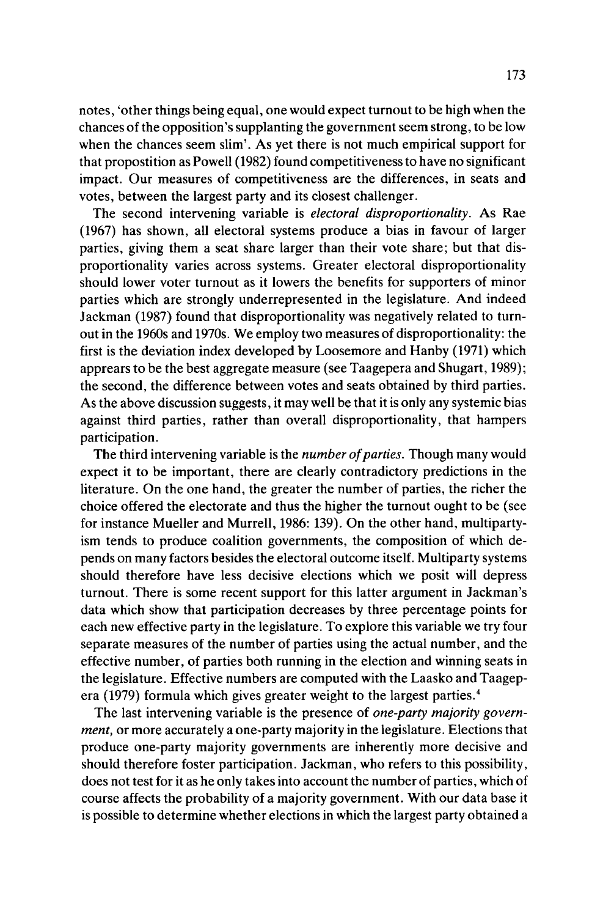notes, 'other things being equal, one would expect turnout to be high when the chances of the opposition's supplanting the government seem strong, to be low when the chances seem slim'. As yet there is not much empirical support for that propostition as Powell (1982) found competitiveness to have no significant impact. Our measures of competitiveness are the differences, in seats and votes, between the largest party and its closest challenger.

The second intervening variable is *electoral disproportionality.* **As** Rae (1967) has shown, all electoral systems produce a bias in favour of larger parties, giving them a seat share larger than their vote share; but that disproportionality varies across systems. Greater electoral disproportionality should lower voter turnout as it lowers the benefits for supporters of minor parties which are strongly underrepresented in the legislature. And indeed Jackman (1987) found that disproportionality was negatively related to turnout in the 1960s and 1970s. We employ two measures of disproportionality: the first is the deviation index developed by Loosemore and Hanby (1971) which apprears to be the best aggregate measure (see Taagepera and Shugart, 1989); the second, the difference between votes and seats obtained by third parties. As the above discussion suggests, it may well be that it is only any systemic bias against third parties, rather than overall disproportionality, that hampers participation.

The third intervening variable is the *number of parties*. Though many would expect it to be important, there are clearly contradictory predictions in the literature. On the one hand, the greater the number of parties, the richer the choice offered the electorate and thus the higher the turnout ought to be (see for instance Mueller and Murrell, 1986: 139). On the other hand, multipartyism tends to produce coalition governments, the composition of which depends on many factors besides the electoral outcome itself. Multiparty systems should therefore have less decisive elections which we posit will depress turnout. There is some recent support for this latter argument in Jackman's data which show that participation decreases by three percentage points for each new effective party in the legislature. To explore this variable we try four separate measures of the number of parties using the actual number, and the effective number, of parties both running in the election and winning seats in the legislature. Effective numbers are computed with the Laasko and Taagepera (1979) formula which gives greater weight to the largest parties. $4$ 

The last intervening variable is the presence of *one-party majority government,* or more accurately a one-party majority in the legislature. Elections that produce one-party majority governments are inherently more decisive and should therefore foster participation. Jackman, who refers to this possibility, does not test for it as he only takes into account the number of parties, which of course affects the probability of a majority government. With our data base it is possible to determine whether elections in which the largest party obtained a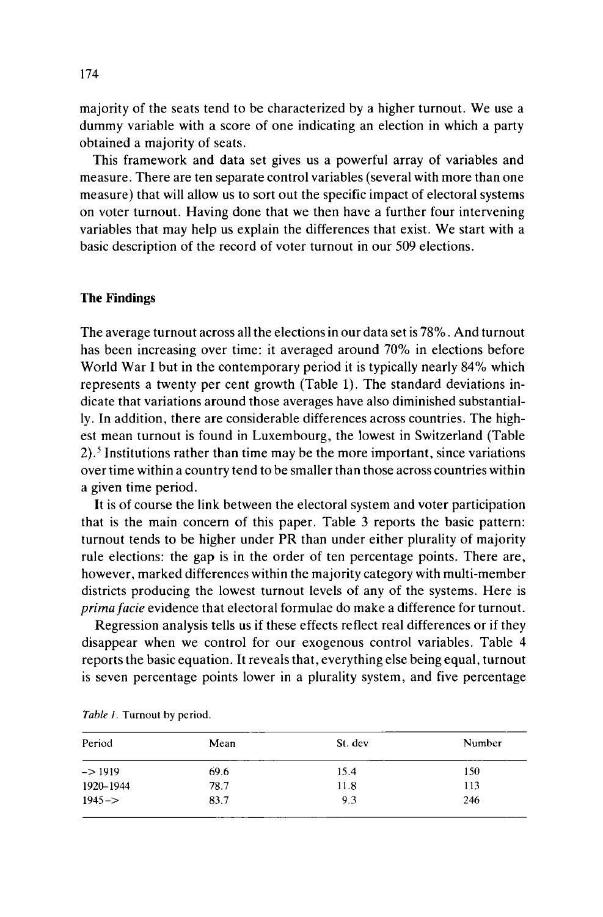majority of the seats tend to be characterized by a higher turnout. We use a dummy variable with a score of one indicating an election in which a party obtained a majority of seats.

This framework and data set gives us a powerful array of variables and measure. There are ten separate control variables (several with more than one measure) that will allow us to sort out the specific impact of electoral systems on voter turnout. Having done that we then have a further four intervening variables that may help us explain the differences that exist. We start with a basic description of the record of voter turnout in our 509 elections.

### **The Findings**

The average turnout across all the elections in our data set is **78%.** And turnout has been increasing over time: it averaged around 70% in elections before World War I but in the contemporary period it is typically nearly 84% which represents a twenty per cent growth (Table 1). The standard deviations indicate that variations around those averages have also diminished substantially. In addition, there are considerable differences across countries. The highest mean turnout is found in Luxembourg, the lowest in Switzerland (Table *2).5* Institutions rather than time may be the more important, since variations over time within a country tend to be smaller than those across countries within a given time period.

It is of course the link between the electoral system and voter participation that is the main concern of this paper. Table **3** reports the basic pattern: turnout tends to be higher under PR than under either plurality of majority rule elections: the gap is in the order of ten percentage points. There are, however, marked differences within the majority category with multi-member districts producing the lowest turnout levels of any of the systems. Here is *prima facie* evidence that electoral formulae do make a difference for turnout.

Regression analysis tells us if these effects reflect real differences or if they disappear when we control for our exogenous control variables. Table 4 reports the basic equation. It reveals that, everything else being equal, turnout is seven percentage points lower in a plurality system, and five percentage

| Period      | Mean | St. dev | Number |
|-------------|------|---------|--------|
| $\sim$ 1919 | 69.6 | 15.4    | 150    |
| 1920-1944   | 78.7 | 11.8    | 113    |
| $1945 - >$  | 83.7 | 9.3     | 246    |

*Table 1.* Turnout **by** period.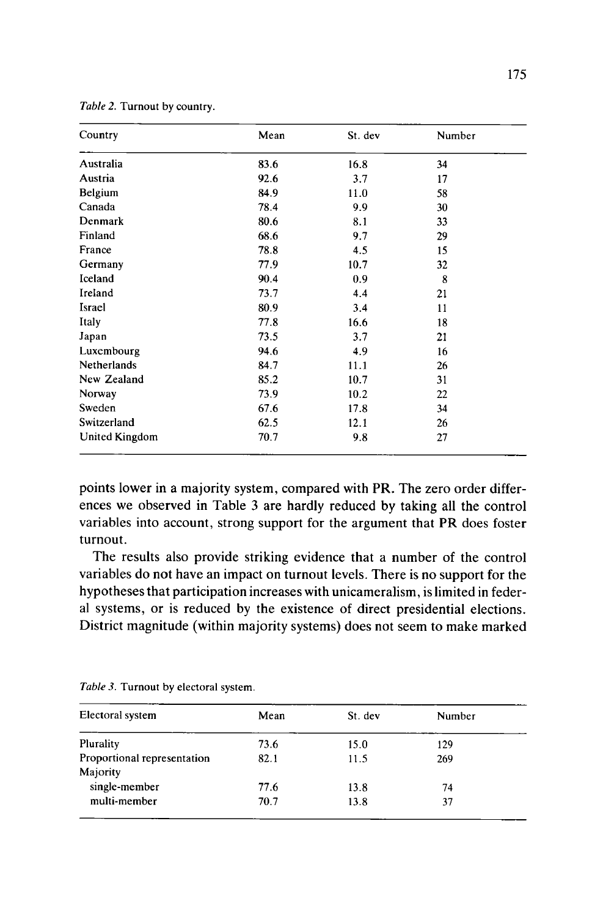| Country        | Mean | St. dev | Number |
|----------------|------|---------|--------|
| Australia      | 83.6 | 16.8    | 34     |
| Austria        | 92.6 | 3.7     | 17     |
| Belgium        | 84.9 | 11.0    | 58     |
| Canada         | 78.4 | 9.9     | 30     |
| Denmark        | 80.6 | 8.1     | 33     |
| Finland        | 68.6 | 9.7     | 29     |
| France         | 78.8 | 4.5     | 15     |
| Germany        | 77.9 | 10.7    | 32     |
| Iceland        | 90.4 | 0.9     | 8      |
| Ireland        | 73.7 | 4.4     | 21     |
| Israel         | 80.9 | 3.4     | 11     |
| Italy          | 77.8 | 16.6    | 18     |
| Japan          | 73.5 | 3.7     | 21     |
| Luxembourg     | 94.6 | 4.9     | 16     |
| Netherlands    | 84.7 | 11.1    | 26     |
| New Zealand    | 85.2 | 10.7    | 31     |
| Norway         | 73.9 | 10.2    | 22     |
| Sweden         | 67.6 | 17.8    | 34     |
| Switzerland    | 62.5 | 12.1    | 26     |
| United Kingdom | 70.7 | 9.8     | 27     |

*Table 2.* Turnout by country.

points lower in a majority system, compared with PR. The zero order differences we observed in Table 3 are hardly reduced by taking all the control variables into account, strong support for the argument that PR does foster turnout.

The results also provide striking evidence that a number of the control variables do not have an impact on turnout levels. There is no support for the hypotheses that participation increases with unicameralism, is limited in federal systems, or is reduced by the existence of direct presidential elections. District magnitude (within majority systems) does not seem to make marked

| Electoral system            | Mean | St. dev | Number |
|-----------------------------|------|---------|--------|
| Plurality                   | 73.6 | 15.0    | 129    |
| Proportional representation | 82.1 | 11.5    | 269    |
| Majority                    |      |         |        |
| single-member               | 77.6 | 13.8    | 74     |
| multi-member                | 70.7 | 13.8    | 37     |

*Table* 3. Turnout by electoral system.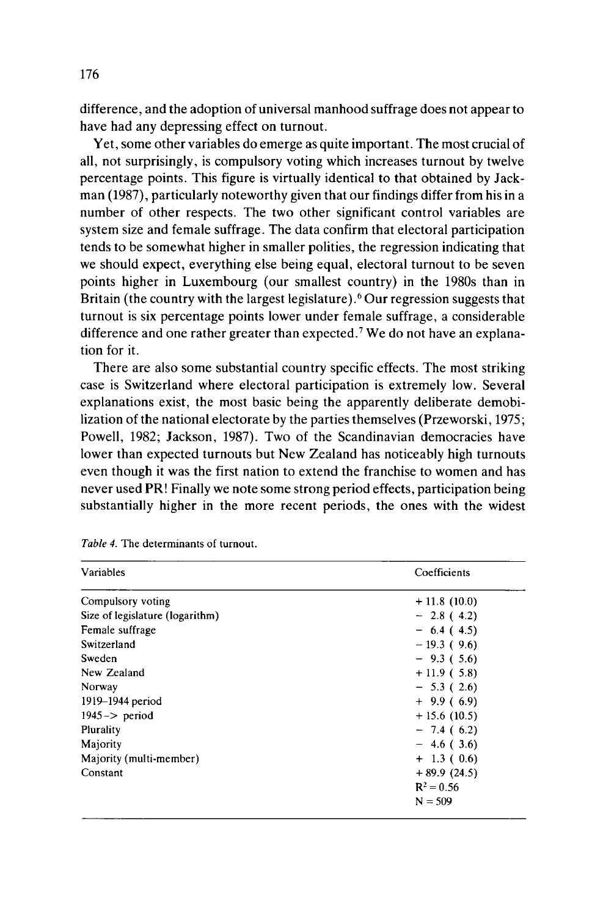difference, and the adoption of universal manhood suffrage does not appear to have had any depressing effect on turnout.

Yet, some other variables do emerge as quite important. The most crucial of all, not surprisingly, is compulsory voting which increases turnout by twelve percentage points. This figure is virtually identical to that obtained by Jackman (1987), particularly noteworthy given that our findings differ from his in a number of other respects. The two other significant control variables are system size and female suffrage. The data confirm that electoral participation tends to be somewhat higher in smaller polities, the regression indicating that we should expect, everything else being equal, electoral turnout to be seven points higher in Luxembourg (our smallest country) in the 1980s than in Britain (the country with the largest legislature).<sup>6</sup> Our regression suggests that turnout is six percentage points lower under female suffrage, a considerable difference and one rather greater than expected.' We do not have an explanation for it.

There are also some substantial country specific effects. The most striking case is Switzerland where electoral participation is extremely low. Several explanations exist, the most basic being the apparently deliberate demobilization of the national electorate by the parties themselves (Przeworski, 1975; Powell, 1982; Jackson, 1987). Two of the Scandinavian democracies have lower than expected turnouts but New Zealand has noticeably high turnouts even though it was the first nation to extend the franchise to women and has never used **PR!** Finally we note some strong period effects, participation being substantially higher in the more recent periods, the ones with the widest

| Variables                       | Coefficients  |
|---------------------------------|---------------|
| Compulsory voting               | $+11.8(10.0)$ |
| Size of legislature (logarithm) | $-2.8(4.2)$   |
| Female suffrage                 | $-6.4(4.5)$   |
| Switzerland                     | $-19.3(9.6)$  |
| Sweden                          | $-9.3(5.6)$   |
| New Zealand                     | $+11.9(5.8)$  |
| Norway                          | $-5.3(2.6)$   |
| 1919–1944 period                | $+$ 9.9 (6.9) |
| $1945 -$ period                 | $+15.6(10.5)$ |
| Plurality                       | $-7.4(6.2)$   |
| Majority                        | $-4.6(3.6)$   |
| Majority (multi-member)         | $+$ 1.3 (0.6) |
| Constant                        | $+89.9(24.5)$ |
|                                 | $R^2 = 0.56$  |
|                                 | $N = 509$     |

**Table 4. The determinants of turnout.**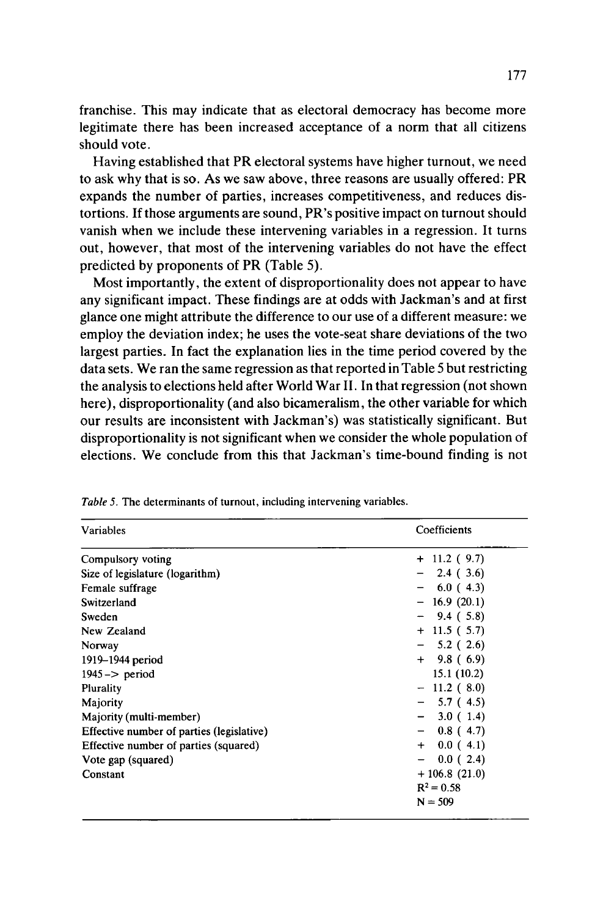franchise. This may indicate that as electoral democracy has become more legitimate there has been increased acceptance of a norm that all citizens should vote.

Having established that PR electoral systems have higher turnout, we need to ask why that is so. As we saw above, three reasons are usually offered: PR expands the number of parties, increases competitiveness, and reduces distortions. If those arguments are sound, PR's positive impact on turnout should vanish when we include these intervening variables in a regression. It turns out, however, that most of the intervening variables do not have the effect predicted by proponents of PR (Table 5).

Most importantly, the extent of disproportionality does not appear to have any significant impact. These findings are at odds with Jackman's and at first glance one might attribute the difference to our use of a different measure: we employ the deviation index; he uses the vote-seat share deviations of the two largest parties. In fact the explanation lies in the time period covered by the data sets. We ran the same regression as that reported in Table 5 but restricting the analysis to elections held after World War 11. In that regression (not shown here), disproportionality (and also bicameralism, the other variable for which our results are inconsistent with Jackman's) was statistically significant. But disproportionality is not significant when we consider the whole population of elections. We conclude from this that Jackman's time-bound finding is not

| Variables                                 | Coefficients   |
|-------------------------------------------|----------------|
| Compulsory voting                         | $+$ 11.2 (9.7) |
| Size of legislature (logarithm)           | $-2.4(3.6)$    |
| Female suffrage                           | $-6.0(4.3)$    |
| Switzerland                               | $-16.9(20.1)$  |
| Sweden                                    | $-9.4(5.8)$    |
| New Zealand                               | $+$ 11.5 (5.7) |
| Norway                                    | $-5.2(2.6)$    |
| 1919-1944 period                          | $+$ 9.8 (6.9)  |
| $1945 -$ period                           | 15.1(10.2)     |
| <b>Plurality</b>                          | $-11.2(8.0)$   |
| Majority                                  | $-5.7(4.5)$    |
| Majority (multi-member)                   | $-3.0(1.4)$    |
| Effective number of parties (legislative) | $-$ 0.8 (4.7)  |
| Effective number of parties (squared)     | $+$ 0.0 (4.1)  |
| Vote gap (squared)                        | 0.0(2.4)       |
| Constant                                  | $+106.8(21.0)$ |
|                                           | $R^2 = 0.58$   |
|                                           | $N = 509$      |

*Table* **5. The determinants of turnout, including intervening variables**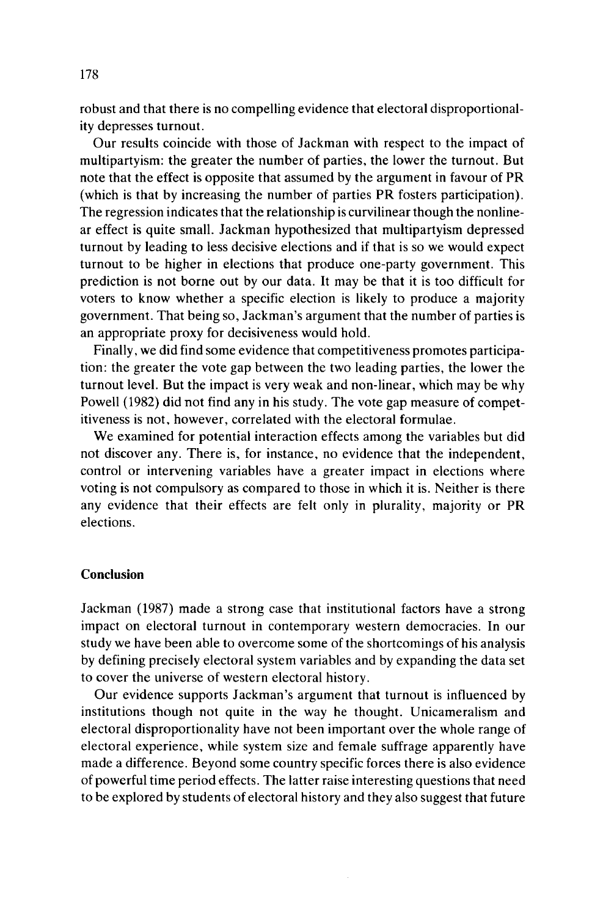robust and that there is no compelling evidence that electoral disproportionality depresses turnout.

Our results coincide with those of Jackman with respect to the impact of multipartyism: the greater the number of parties, the lower the turnout. But note that the effect is opposite that assumed by the argument in favour of PR (which is that by increasing the number of parties PR fosters participation). The regression indicates that the relationship is curvilinear though the nonlinear effect is quite small. Jackman hypothesized that multipartyism depressed turnout by leading to less decisive elections and if that is so we would expect turnout to be higher in elections that produce one-party government. This prediction is not borne out by our data. It may be that it is too difficult for voters to know whether a specific election is likely to produce a majority government. That being so, Jackman's argument that the number of parties is an appropriate proxy for decisiveness would hold.

Finally, we did find some evidence that competitiveness promotes participation: the greater the vote gap between the two leading parties, the lower the turnout level. But the impact is very weak and non-linear, which may be why Powell (1982) did not find any in his study. The vote gap measure of competitiveness is not, however, correlated with the electoral formulae.

We examined for potential interaction effects among the variables but did not discover any. There is, for instance, no evidence that the independent, control **or** intervening variables have a greater impact in elections where voting is not compulsory as compared to those in which it is. Neither is there any evidence that their effects are felt only in plurality, majority or PR elections.

## **Conclusion**

Jackman (1987) made a strong case that institutional factors have a strong impact on electoral turnout in contemporary western democracies. In our study we have been able to overcome some of the shortcomings of his analysis by defining precisely electoral system variables and by expanding the data set to cover the universe of western electoral history.

Our evidence supports Jackman's argument that turnout is influenced by institutions though not quite in the way he thought. Unicameralism and electoral disproportionality have not been important over the whole range of electoral experience, while system size and female suffrage apparently have made a difference. Beyond some country specific forces there is also evidence of powerful time period effects. The latter raise interesting questions that need to be explored by students of electoral history and they also suggest that future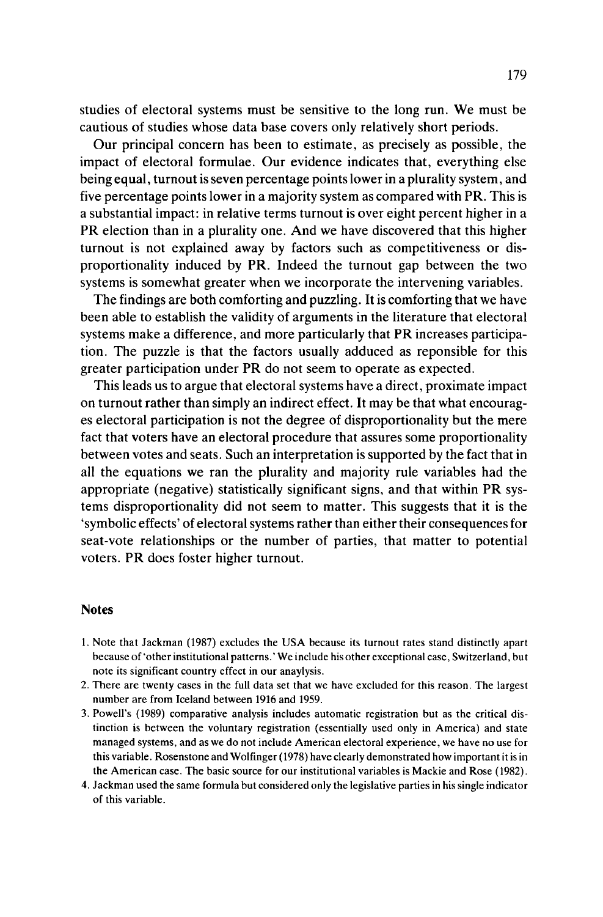studies of electoral systems must be sensitive to the long run. We must be cautious of studies whose data base covers only relatively short periods.

Our principal concern has been to estimate, as precisely as possible, the impact of electoral formulae. Our evidence indicates that, everything else being equal, turnout is seven percentage points lower in a plurality system, and five percentage points lower in a majority system as compared with PR. This is a substantial impact: in relative terms turnout is over eight percent higher in a PR election than in a plurality one. And we have discovered that this higher turnout is not explained away by factors such as competitiveness or disproportionality induced by PR. Indeed the turnout gap between the two systems is somewhat greater when we incorporate the intervening variables.

The findings are both comforting and puzzling. It is comforting that we have been able to establish the validity of arguments in the literature that electoral systems make a difference, and more particularly that PR increases participation. The puzzle is that the factors usually adduced as reponsible for this greater participation under PR do not seem to operate as expected.

This leads us to argue that electoral systems have a direct, proximate impact on turnout rather than simply an indirect effect. It may be that what encourages electoral participation is not the degree of disproportionality but the mere fact that voters have an electoral procedure that assures some proportionality between votes and seats. Such an interpretation is supported by the fact that in all the equations we ran the plurality and majority rule variables had the appropriate (negative) statistically significant signs, and that within PR systems disproportionality did not seem to matter. This suggests that it is the 'symbolic effects' of electoral systems rather than either their consequences for seat-vote relationships or the number of parties, that matter to potential voters. PR does foster higher turnout.

#### **Notes**

- **1.** Note that Jackman **(1987)** excludes the USA because its turnout rates stand distinctly apart because of 'other institutional patterns.' We include his other exceptional case, Switzerland, but note its significant country effect in our anaylysis.
- 2. There are twenty cases in the full data set that we have excluded for this reason. The largest number are from Iceland between **1916** and **1959.**
- *3.* Powell's **(1989)** comparative analysis includes automatic registration but as the critical distinction is between the voluntary registration (essentially used only in America) and state managed systems, and as we do not include American electoral experience, we have no use for this variable. Rosenstone and Wolfinger **(1978)** have clearly demonstrated how important it is in the American case. The basic source for our institutional variables is Mackie and Rose **(1982).**
- **4.** Jackman used the same formula but considered only the legislative parties in his single indicator of this variable.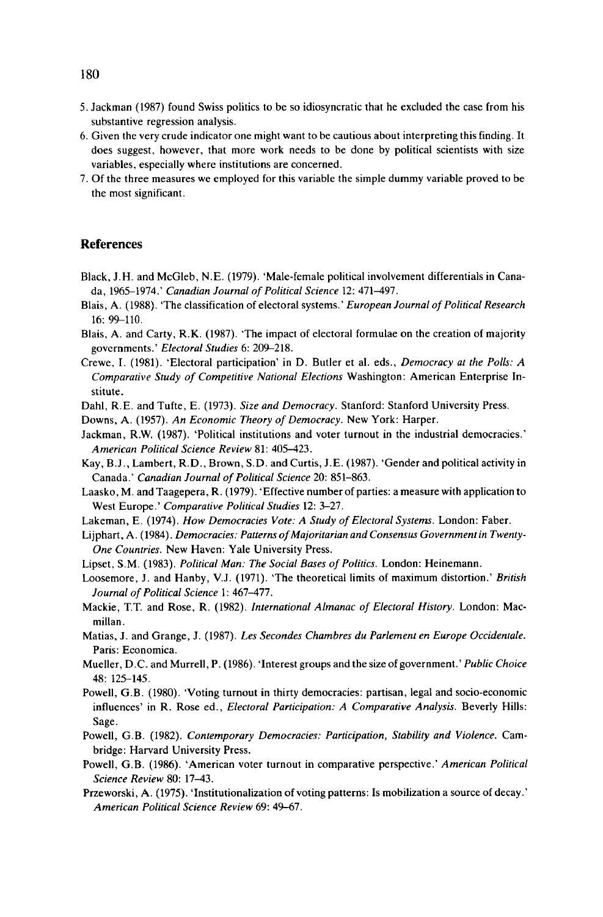- 5. Jackman **(1987)** found Swiss politics to be so idiosyncratic that he excluded the case from his substantive regression analysis.
- **6.** Given the very crude indicator one might want to be cautious about interpreting this finding. It does suggest, however, that more work needs to be done by political scientists with size variables, especially where institutions are concerned.
- **7.** Of the three measures we employed for this variable the simple dummy variable proved to be the most significant.

#### **References**

- Black, J.H. and McGleb, N.E. **(1979).** 'Male-female political involvement differentials in Canada, **1965-1974.'** *Canadian Journal of Political Science* **12: 471497.**
- Blais, A. **(1988).** 'The classification of electoral systems.' *European Journal* of *Political Research*  16: 99-110.
- Blais, A. and Carty, R.K. **(1987).** 'The impact **of** electoral formulae on the creation of majority governments.' *Electoral Studies* 6: 209-218.
- Crewe, I. **(1981).** 'Electoral participation' in D. Butler et al. eds., *Democracy at the Polls: A Comparative Study* of *Competitive National Elections* Washington: American Enterprise Institute.
- Dahl, R.E. and Tufte, E. **(1973).** *Size and Democracy.* Stanford: Stanford University Press.
- Downs, **A. (1957).** *An Economic Theory* of *Democracy.* New York: Harper.
- Jackman, R.W. **(1987).** 'Political institutions and voter turnout in the industrial democracies.' *American Political Science Review* **81: 405-423.**
- Kay, B.J., Lambert, R.D., Brown, S.D. and Curtis, J.E. **(1987).** 'Gender and political activity in Canada.' *Canadian Journal* of *Political Science* **20: 851-863.**
- Laasko, M. and Taagepera, R. **(1979).** 'Effective number of parties: a measure with application to West Europe.' *Cornparafive Political Studies* **12: 3-27.**
- Lakeman, E. **(1974).** *How Democracies Vote: A Study* of *Electoral Systems.* London: Faber.
- Lijphart, A. **(1984).** *Democracies: Patterns of Majoritarian and Consensus Government in Twenty-One Countries.* New Haven: Yale University Press.
- Lipset, S.M. **(1983).** *Political Man: The Social Bases* of *Politics.* London: Heinemann.
- Loosemore, **J.** and Hanby, V.J. **(1971).** 'The theoretical limits of maximum distortion.' *British Journal of Political Science* 1: 467–477.
- Mackie, T.T. and Rose, R. **(1982).** *International Almanac* of *Electoral History.* London: Macmillan.
- Matias, **J.** and Grange, **J. (1987).** *Les Secondes Chambres du Parlement en Europe Occidenfale.*  Paris: Economica.
- Mueller, D.C. and Murrell, P. **(1986).** 'Interest groups and the size of government.' *Public Choice*  **48: 125-145.**
- Powell, G.B. **(1980).** 'Voting turnout in thirty democracies: partisan, legal and socio-economic influences' in R. Rose ed., *Electoral Participation: A Comparative Analysis.* Beverly Hills: Sage.
- Powell, G.B. **(1982).** *Contemporary Democracies: Participation, Stability and Violence.* Cambridge: Harvard University Press.
- Powell, G.B. **(1986).** 'American voter turnout in comparative perspective.' *American Political Science Review 80:* **17-43.**
- Przeworski, **A. (1975).** 'Institutionalization of voting patterns: Is mobilization a source of decay.' *American Political Science Review* **69: 49-67.**